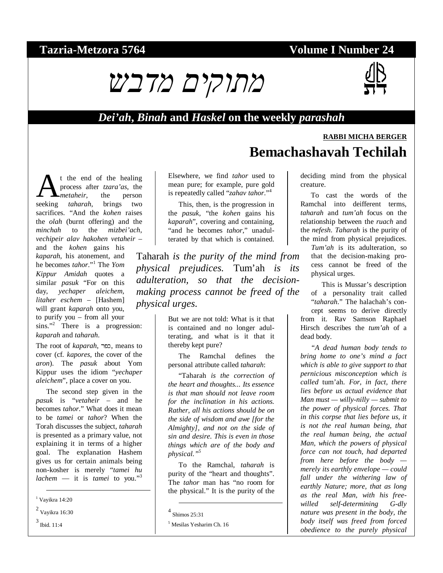### **Tazria-Metzora 5764 Volume I Number 24**



#### *Dei'ah***,** *Binah* **and** *Haskel* **on the weekly** *parashah*

# **RABBI MICHA BERGER Bemachashavah Techilah**

t the end of the healing process after *tzara'as*, the *metaheir*, the person **A**<sup>t</sup> the end of the healing<br>process after *tzara'as*, the<br>seeking *taharah*, brings two sacrifices. "And the *kohen* raises the *olah* (burnt offering) and the *minchah* to the *mizbei'ach*, *vechipeir alav hakohen vetaheir* – and the *kohen* gains his

*kaparah*, his atonement, and he becomes *tahor*."<sup>1</sup> The *Yom Kippur Amidah* quotes a similar *pasuk* "For on this day, *yechaper aleichem, litaher eschem* – [Hashem] will grant *kaparah* onto you, to purify you – from all your sins."<sup>2</sup> There is a progression: *kaparah* and *taharah*.

The root of *kaparah*, כפר, means to cover (cf. *kapores*, the cover of the *aron*). The *pasuk* about Yom Kippur uses the idiom "*yechaper aleichem*", place a cover on you.

The second step given in the *pasuk* is "*vetaheir* – and he becomes *tahor*." What does it mean to be *tamei* or *tahor*? When the Torah discusses the subject, *taharah* is presented as a primary value, not explaining it in terms of a higher goal. The explanation Hashem gives us for certain animals being non-kosher is merely "*tamei hu lachem* — it is *tamei* to you."<sup>3</sup>

Elsewhere, we find *tahor* used to mean pure; for example, pure gold is repeatedly called "*zahav tahor*."<sup>4</sup>

This, then, is the progression in the *pasuk*, "the *kohen* gains his *kaparah*", covering and containing, "and he becomes *tahor*," unadulterated by that which is contained.

Taharah *is the purity of the mind from physical prejudices.* Tum'ah *is its adulteration, so that the decisionmaking process cannot be freed of the physical urges.*

> But we are not told: What is it that is contained and no longer adulterating, and what is it that it thereby kept pure?

> The Ramchal defines the personal attribute called *taharah*:

> "Taharah *is the correction of the heart and thoughts... Its essence is that man should not leave room for the inclination in his actions. Rather, all his actions should be on the side of wisdom and awe [for the Almighty], and not on the side of sin and desire. This is even in those things which are of the body and physical."5*

> To the Ramchal, *taharah* is purity of the "heart and thoughts". The *tahor* man has "no room for the physical." It is the purity of the

-

deciding mind from the physical creature.

To cast the words of the Ramchal into deifferent terms, *taharah* and *tum'ah* focus on the relationship between the *ruach* and the *nefesh*. *Taharah* is the purity of the mind from physical prejudices.

*Tum'ah* is its adulteration, so that the decision-making process cannot be freed of the physical urges.

This is Mussar's description of a personality trait called "*taharah*." The halachah's concept seems to derive directly from it. Rav Samson Raphael Hirsch describes the *tum'ah* of a dead body.

*"A dead human body tends to bring home to one's mind a fact which is able to give support to that pernicious misconception which is called* tum'ah*. For, in fact, there lies before us actual evidence that Man must — willy-nilly — submit to the power of physical forces. That in this corpse that lies before us, it is not the real human being, that the real human being, the actual Man, which the powers of physical force can not touch, had departed from here before the body merely its earthly envelope — could fall under the withering law of earthly Nature; more, that as long as the real Man, with his freewilled self-determining G-dly nature was present in the body, the body itself was freed from forced obedience to the purely physical* 

 <sup>1</sup> Vayikra 14:20

 $^2$  Vayikra 16:30

<sup>3</sup> Ibid. 11:4

<sup>4</sup> Shimos 25:31

<sup>5</sup> Mesilas Yesharim Ch. 16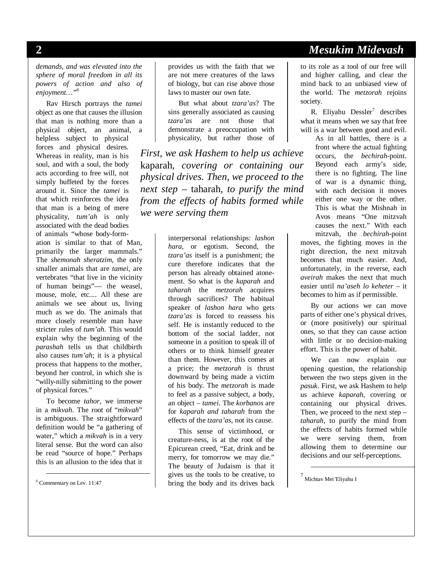*demands, and was elevated into the sphere of moral freedom in all its powers of action and also of enjoyment…"6*

Rav Hirsch portrays the *tamei* object as one that causes the illusion that man is nothing more than a physical object, an animal, a helpless subject to physical forces and physical desires. Whereas in reality, man is his soul, and with a soul, the body acts according to free will, not simply buffeted by the forces around it. Since the *tamei* is that which reinforces the idea that man is a being of mere physicality, *tum'ah* is only associated with the dead bodies of animals "whose body-formation is similar to that of Man, primarily the larger mammals." The *shemonah sheratzim*, the only smaller animals that are *tamei*, are vertebrates "that live in the vicinity of human beings"— the weasel, mouse, mole, etc.... All these are animals we see about us, living much as we do. The animals that more closely resemble man have stricter rules of *tum'ah*. This would explain why the beginning of the *parashah* tells us that childbirth also causes *tum'ah*; it is a physical process that happens to the mother, beyond her control, in which she is "willy-nilly submitting to the power of physical forces."

To become *tahor*, we immerse in a *mikvah*. The root of "*mikvah*" is ambiguous. The straightforward definition would be "a gathering of water," which a *mikvah* is in a very literal sense. But the word can also be read "source of hope." Perhaps this is an allusion to the idea that it

6 Commentary on Lev. 11:47

provides us with the faith that we are not mere creatures of the laws of biology, but can rise above those laws to master our own fate.

But what about *tzara'as*? The sins generally associated as causing *tzara'as* are not those that demonstrate a preoccupation with physicality, but rather those of

*First, we ask Hashem to help us achieve*  kaparah*, covering or containing our physical drives. Then, we proceed to the next step –* taharah*, to purify the mind from the effects of habits formed while we were serving them* 

> interpersonal relationships: *lashon hara*, or egotism. Second, the *tzara'as* itself is a punishment; the cure therefore indicates that the person has already obtained atonement. So what is the *kaparah* and *taharah* the *metzorah* acquires through sacrifices? The habitual speaker of *lashon hara* who gets *tzara'as* is forced to reassess his self. He is instantly reduced to the bottom of the social ladder, not someone in a position to speak ill of others or to think himself greater than them. However, this comes at a price; the *metzorah* is thrust downward by being made a victim of his body. The *metzorah* is made to feel as a passive subject, a body, an object – *tamei*. The *korbanos* are for *kaparah and taharah* from the effects of the *tzara'as*, not its cause.

> This sense of victimhood, or creature-ness, is at the root of the Epicurean creed, "Eat, drink and be merry, for tomorrow we may die." The beauty of Judaism is that it gives us the tools to be creative, to bring the body and its drives back

#### **2** *Mesukim Midevash*

to its role as a tool of our free will and higher calling, and clear the mind back to an unbiased view of the world. The *metzorah* rejoins society.

R. Eliyahu Dessler<sup>7</sup> describes what it means when we say that free will is a war between good and evil.

As in all battles, there is a front where the actual fighting occurs, the *bechirah*-point. Beyond each army's side, there is no fighting. The line of war is a dynamic thing, with each decision it moves either one way or the other. This is what the Mishnah in Avos means "One mitzvah causes the next." With each mitzvah, the *bechirah*-point moves, the fighting moves in the right direction, the next mitzvah becomes that much easier. And, unfortunately, in the reverse, each *aveirah* makes the next that much easier until *na'aseh lo keheter* – it becomes to him as if permissible.

By our actions we can move parts of either one's physical drives, or (more positively) our spiritual ones, so that they can cause action with little or no decision-making effort. This is the power of habit.

We can now explain our opening question, the relationship between the two steps given in the *pasuk*. First, we ask Hashem to help us achieve *kaparah*, covering or containing our physical drives. Then, we proceed to the next step – *taharah*, to purify the mind from the effects of habits formed while we were serving them, from allowing them to determine our decisions and our self-perceptions.

7 Michtav Mei*'*Eliyahu I

 $\overline{a}$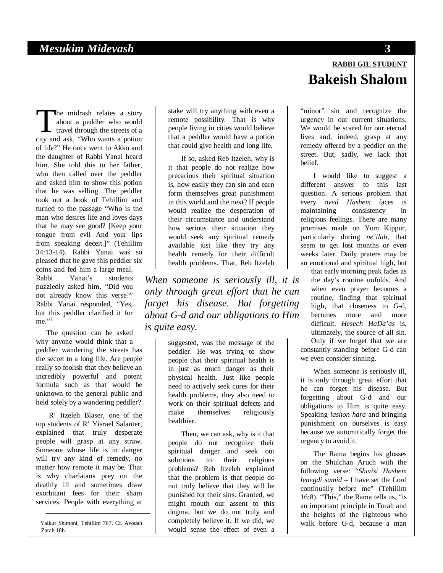#### *Mesukim Midevash* **3**

he midrash relates a story about a peddler who would  $\mathsf{L}\;$  travel through the streets of a The midrash relates a story<br>about a peddler who would<br>travel through the streets of a<br>city and ask, "Who wants a potion of life?" He once went to Akko and the daughter of Rabbi Yanai heard him. She told this to her father, who then called over the peddler and asked him to show this potion that he was selling. The peddler took out a book of Tehillim and turned to the passage "Who is the man who desires life and loves days that he may see good? [Keep your tongue from evil And your lips from speaking deceit.]" (Tehillim 34:13-14). Rabbi Yanai was so pleased that he gave this peddler six coins and fed him a large meal.<br>Rabbi Yanai's students Yanai's students puzzledly asked him, "Did you not already know this verse?" Rabbi Yanai responded, "Yes, but this peddler clarified it for me." $1$ 

The question can be asked why anyone would think that a peddler wandering the streets has the secret to a long life. Are people really so foolish that they believe an incredibly powerful and potent formula such as that would be unknown to the general public and held solely by a wandering peddler?

R' Itzeleh Blaser, one of the top students of R' Yisrael Salanter, explained that truly desperate people will grasp at any straw. Someone whose life is in danger will try any kind of remedy, no matter how remote it may be. That is why charlatans prey on the deathly ill and sometimes draw exorbitant fees for their sham services. People with everything at

 1 Yalkut Shimoni, Tehillim 767. Cf. Avodah Zarah 18b.

stake will try anything with even a remote possibility. That is why people living in cities would believe that a peddler would have a potion that could give health and long life.

If so, asked Reb Itzeleh, why is it that people do not realize how precarious their spiritual situation is, how easily they can sin and earn form themselves great punishment in this world and the next? If people would realize the desperation of their circumstance and understand how serious their situation they would seek any spiritual remedy available just like they try any health remedy for their difficult health problems. That, Reb Itzeleh

*When someone is seriously ill, it is only through great effort that he can forget his disease. But forgetting about G-d and our obligations to Him is quite easy.* 

> suggested, was the message of the peddler. He was trying to show people that their spiritual health is in just as much danger as their physical health. Just like people need to actively seek cures for their health problems, they also need to work on their spiritual defects and<br>make themselves religiously themselves religiously healthier.

Then, we can ask, why is it that people do not recognize their spiritual danger and seek out solutions to their religious problems? Reb Itzeleh explained that the problem is that people do not truly believe that they will be punished for their sins. Granted, we might mouth our assent to this dogma, but we do not truly and completely believe it. If we did, we would sense the effect of even a

# **RABBI GIL STUDENT Bakeish Shalom**

"minor" sin and recognize the urgency in our current situations. We would be scared for our eternal lives and, indeed, grasp at any remedy offered by a peddler on the street. But, sadly, we lack that belief.

I would like to suggest a different answer to this last question. A serious problem that every *oved Hashem* faces is maintaining consistency in religious feelings. There are many promises made on Yom Kippur, particularly during *ne'ilah*, that seem to get lost months or even weeks later. Daily praters may be an emotional and spiritual high, but

that early morning peak fades as the day's routine unfolds. And when even prayer becomes a routine, finding that spiritual high, that closeness to G-d, becomes more and more difficult. *Hesech HaDa'as* is, ultimately, the source of all sin. Only if we forget that we are constantly standing before G-d can we even consider sinning.

When someone is seriously ill, it is only through great effort that he can forget his disease. But forgetting about G-d and our obligations to Him is quite easy. Speaking *lashon hara* and bringing punishment on ourselves is easy because we automitically forget the urgency to avoid it.

The Rama begins his glosses on the Shulchan Aruch with the following verse: "*Shivisi Hashem lenegdi samid* – I have set the Lord continually before me" (Tehillim 16:8). "This," the Rama tells us, "is an important principle in Torah and the heights of the righteous who walk before G-d, because a man